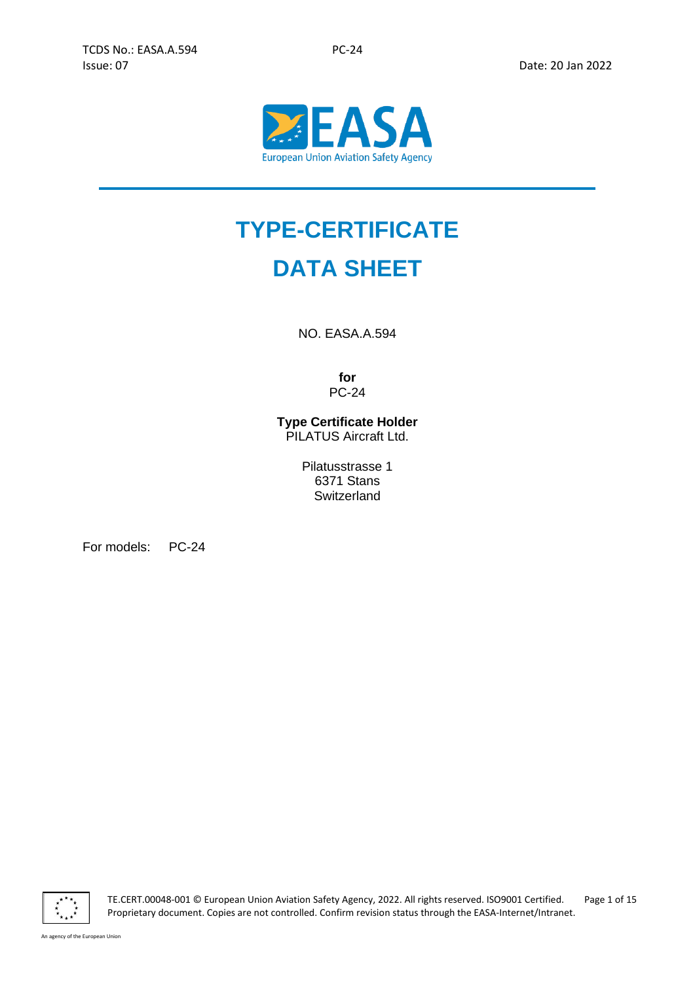

# **TYPE-CERTIFICATE DATA SHEET**

NO. EASA.A.594

**for** PC-24

#### **Type Certificate Holder** PILATUS Aircraft Ltd.

Pilatusstrasse 1 6371 Stans **Switzerland** 

For models: PC-24



TE.CERT.00048-001 © European Union Aviation Safety Agency, 2022. All rights reserved. ISO9001 Certified. Page 1 of 15 Proprietary document. Copies are not controlled. Confirm revision status through the EASA-Internet/Intranet.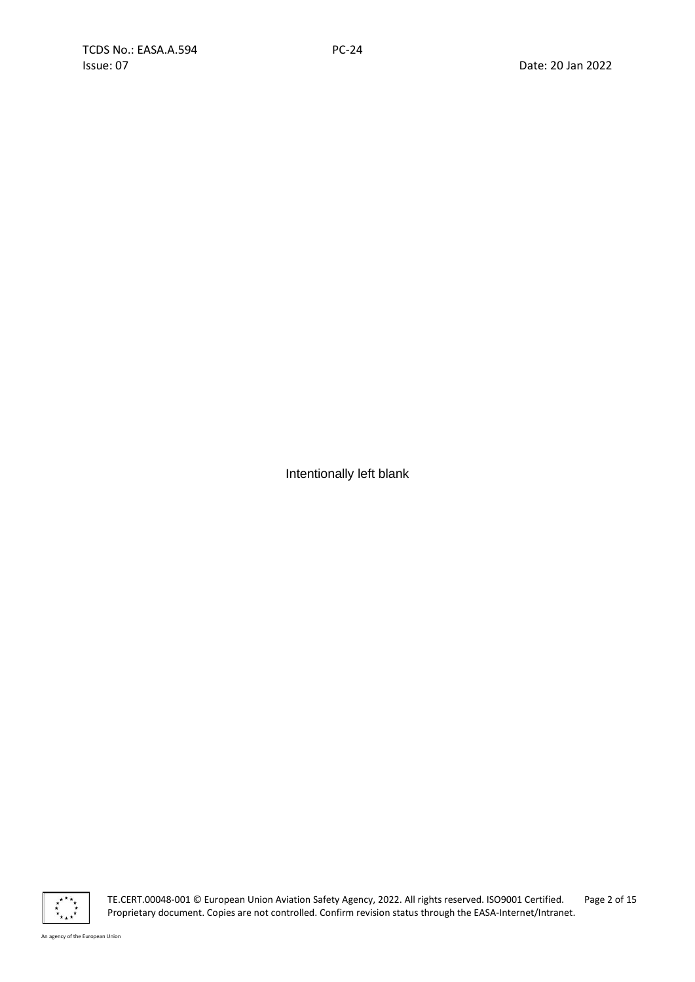Intentionally left blank



TE.CERT.00048-001 © European Union Aviation Safety Agency, 2022. All rights reserved. ISO9001 Certified. Page 2 of 15 Proprietary document. Copies are not controlled. Confirm revision status through the EASA-Internet/Intranet.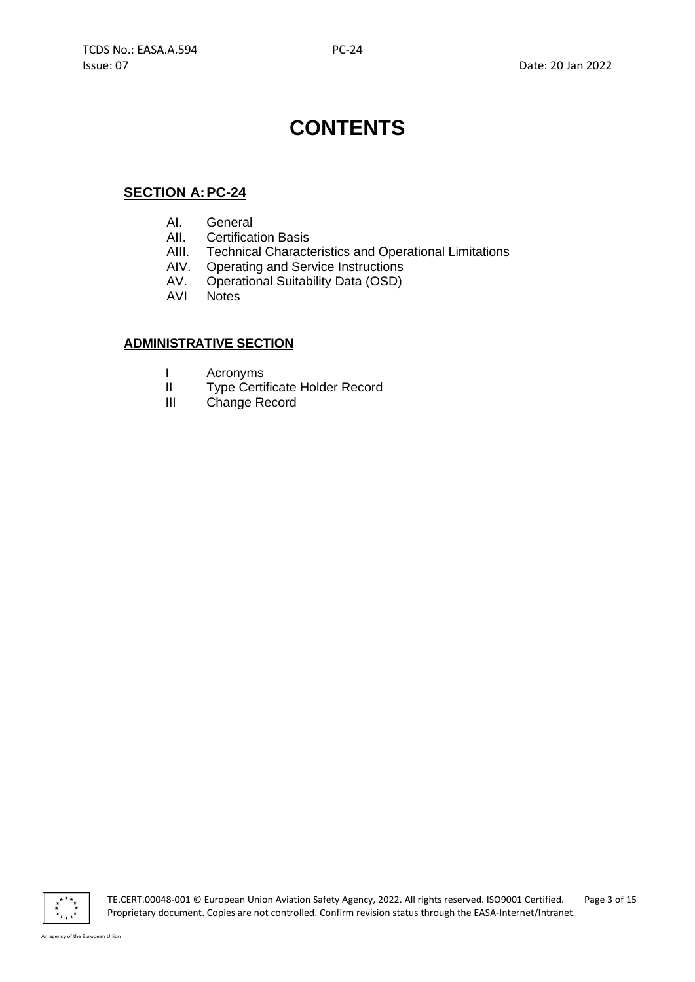## **CONTENTS**

## **SECTION A:PC-24**

- AI. General<br>AII. Certifica
- **Certification Basis**
- AIII. Technical Characteristics and Operational Limitations<br>AIV. Operating and Service Instructions
- Operating and Service Instructions
- AV. Operational Suitability Data (OSD)
- AVI Notes

#### **ADMINISTRATIVE SECTION**

- I Acronyms
- II Type Certificate Holder Record<br>III Change Record
- Change Record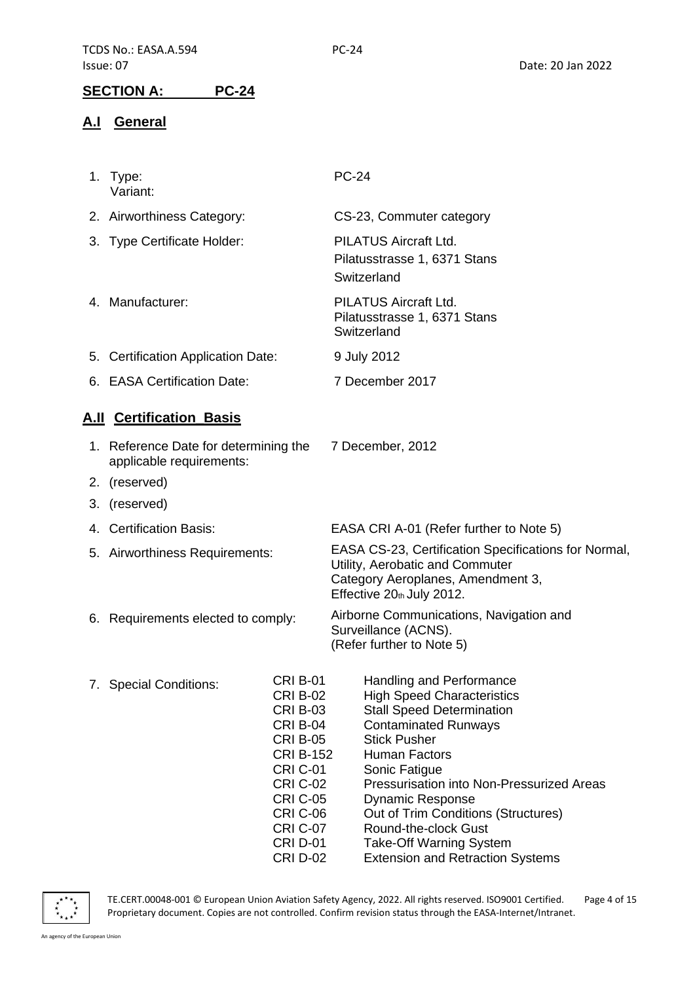## **SECTION A: PC-24**

## **A.I General**

| 1. Type:<br>Variant:                                              |                                                                                                                                                                                                                                                      | <b>PC-24</b>                                                                                                                                                                                                                                                                                                                                                                                                         |  |  |
|-------------------------------------------------------------------|------------------------------------------------------------------------------------------------------------------------------------------------------------------------------------------------------------------------------------------------------|----------------------------------------------------------------------------------------------------------------------------------------------------------------------------------------------------------------------------------------------------------------------------------------------------------------------------------------------------------------------------------------------------------------------|--|--|
| 2. Airworthiness Category:                                        |                                                                                                                                                                                                                                                      | CS-23, Commuter category                                                                                                                                                                                                                                                                                                                                                                                             |  |  |
| 3. Type Certificate Holder:                                       |                                                                                                                                                                                                                                                      | PILATUS Aircraft Ltd.<br>Pilatusstrasse 1, 6371 Stans<br>Switzerland                                                                                                                                                                                                                                                                                                                                                 |  |  |
| 4. Manufacturer:                                                  |                                                                                                                                                                                                                                                      | <b>PILATUS Aircraft Ltd.</b><br>Pilatusstrasse 1, 6371 Stans<br>Switzerland                                                                                                                                                                                                                                                                                                                                          |  |  |
| 5. Certification Application Date:                                |                                                                                                                                                                                                                                                      | 9 July 2012                                                                                                                                                                                                                                                                                                                                                                                                          |  |  |
| 6. EASA Certification Date:                                       |                                                                                                                                                                                                                                                      | 7 December 2017                                                                                                                                                                                                                                                                                                                                                                                                      |  |  |
| <u>A.II Certification Basis</u>                                   |                                                                                                                                                                                                                                                      |                                                                                                                                                                                                                                                                                                                                                                                                                      |  |  |
| 1. Reference Date for determining the<br>applicable requirements: |                                                                                                                                                                                                                                                      | 7 December, 2012                                                                                                                                                                                                                                                                                                                                                                                                     |  |  |
| 2. (reserved)                                                     |                                                                                                                                                                                                                                                      |                                                                                                                                                                                                                                                                                                                                                                                                                      |  |  |
| 3. (reserved)                                                     |                                                                                                                                                                                                                                                      |                                                                                                                                                                                                                                                                                                                                                                                                                      |  |  |
| 4. Certification Basis:                                           |                                                                                                                                                                                                                                                      | EASA CRI A-01 (Refer further to Note 5)                                                                                                                                                                                                                                                                                                                                                                              |  |  |
| 5. Airworthiness Requirements:                                    |                                                                                                                                                                                                                                                      | EASA CS-23, Certification Specifications for Normal,<br>Utility, Aerobatic and Commuter<br>Category Aeroplanes, Amendment 3,<br>Effective 20th July 2012.                                                                                                                                                                                                                                                            |  |  |
| 6. Requirements elected to comply:                                |                                                                                                                                                                                                                                                      | Airborne Communications, Navigation and<br>Surveillance (ACNS).<br>(Refer further to Note 5)                                                                                                                                                                                                                                                                                                                         |  |  |
| 7. Special Conditions:                                            | <b>CRI B-01</b><br><b>CRI B-02</b><br><b>CRI B-03</b><br><b>CRI B-04</b><br><b>CRI B-05</b><br><b>CRI B-152</b><br><b>CRI C-01</b><br><b>CRI C-02</b><br><b>CRI C-05</b><br><b>CRI C-06</b><br><b>CRI C-07</b><br><b>CRI D-01</b><br><b>CRI D-02</b> | Handling and Performance<br><b>High Speed Characteristics</b><br><b>Stall Speed Determination</b><br><b>Contaminated Runways</b><br><b>Stick Pusher</b><br><b>Human Factors</b><br>Sonic Fatigue<br>Pressurisation into Non-Pressurized Areas<br><b>Dynamic Response</b><br>Out of Trim Conditions (Structures)<br>Round-the-clock Gust<br><b>Take-Off Warning System</b><br><b>Extension and Retraction Systems</b> |  |  |



TE.CERT.00048-001 © European Union Aviation Safety Agency, 2022. All rights reserved. ISO9001 Certified. Page 4 of 15 Proprietary document. Copies are not controlled. Confirm revision status through the EASA-Internet/Intranet.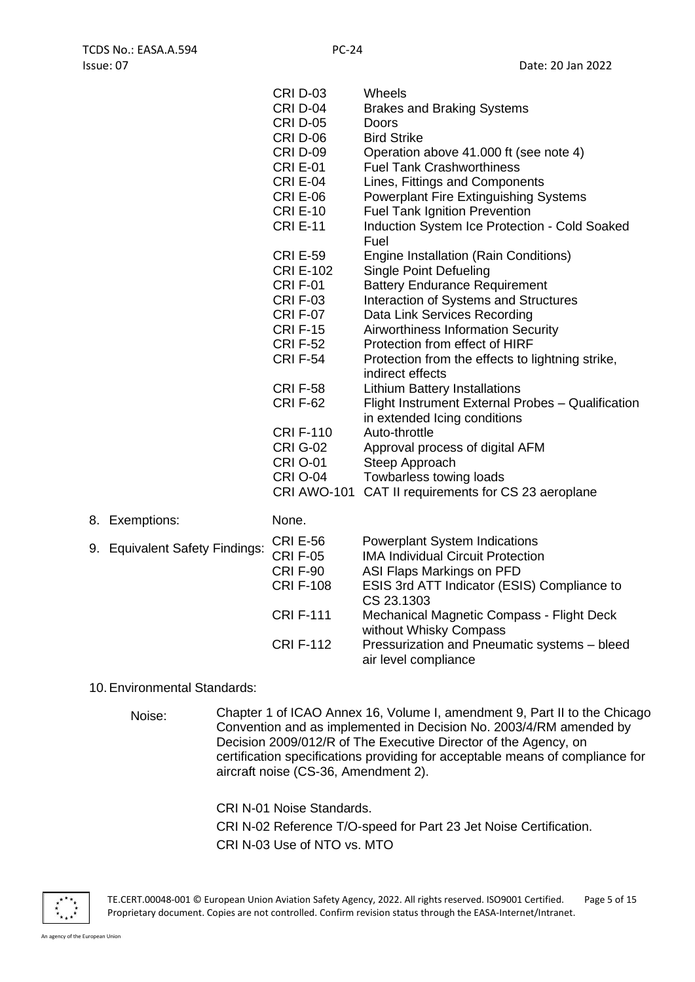|                                | <b>CRI D-03</b><br><b>CRI D-04</b><br><b>CRI D-05</b><br><b>CRI D-06</b><br><b>CRI D-09</b><br><b>CRI E-01</b><br><b>CRI E-04</b><br><b>CRI E-06</b><br><b>CRI E-10</b><br><b>CRI E-11</b><br><b>CRI E-59</b><br><b>CRI E-102</b><br><b>CRI F-01</b><br><b>CRI F-03</b><br><b>CRI F-07</b><br><b>CRI F-15</b><br><b>CRI F-52</b><br><b>CRI F-54</b><br><b>CRI F-58</b><br><b>CRI F-62</b><br><b>CRI F-110</b><br><b>CRI G-02</b><br><b>CRI O-01</b><br><b>CRI O-04</b><br>CRI AWO-101 | Wheels<br><b>Brakes and Braking Systems</b><br>Doors<br><b>Bird Strike</b><br>Operation above 41.000 ft (see note 4)<br><b>Fuel Tank Crashworthiness</b><br>Lines, Fittings and Components<br>Powerplant Fire Extinguishing Systems<br><b>Fuel Tank Ignition Prevention</b><br>Induction System Ice Protection - Cold Soaked<br>Fuel<br>Engine Installation (Rain Conditions)<br><b>Single Point Defueling</b><br><b>Battery Endurance Requirement</b><br>Interaction of Systems and Structures<br>Data Link Services Recording<br>Airworthiness Information Security<br>Protection from effect of HIRF<br>Protection from the effects to lightning strike,<br>indirect effects<br><b>Lithium Battery Installations</b><br>Flight Instrument External Probes - Qualification<br>in extended Icing conditions<br>Auto-throttle<br>Approval process of digital AFM<br>Steep Approach<br>Towbarless towing loads<br>CAT II requirements for CS 23 aeroplane |
|--------------------------------|---------------------------------------------------------------------------------------------------------------------------------------------------------------------------------------------------------------------------------------------------------------------------------------------------------------------------------------------------------------------------------------------------------------------------------------------------------------------------------------|----------------------------------------------------------------------------------------------------------------------------------------------------------------------------------------------------------------------------------------------------------------------------------------------------------------------------------------------------------------------------------------------------------------------------------------------------------------------------------------------------------------------------------------------------------------------------------------------------------------------------------------------------------------------------------------------------------------------------------------------------------------------------------------------------------------------------------------------------------------------------------------------------------------------------------------------------------|
| 8. Exemptions:                 | None.                                                                                                                                                                                                                                                                                                                                                                                                                                                                                 |                                                                                                                                                                                                                                                                                                                                                                                                                                                                                                                                                                                                                                                                                                                                                                                                                                                                                                                                                          |
| 9. Equivalent Safety Findings: | <b>CRI E-56</b><br><b>CRI F-05</b><br><b>CRI F-90</b><br><b>CRI F-108</b><br><b>CRI F-111</b>                                                                                                                                                                                                                                                                                                                                                                                         | <b>Powerplant System Indications</b><br><b>IMA Individual Circuit Protection</b><br>ASI Flaps Markings on PFD<br>ESIS 3rd ATT Indicator (ESIS) Compliance to<br>CS 23.1303<br>Mechanical Magnetic Compass - Flight Deck<br>without Whisky Compass                                                                                                                                                                                                                                                                                                                                                                                                                                                                                                                                                                                                                                                                                                        |

#### 10.Environmental Standards:

Noise: Chapter 1 of ICAO Annex 16, Volume I, amendment 9, Part II to the Chicago Convention and as implemented in Decision No. 2003/4/RM amended by Decision 2009/012/R of The Executive Director of the Agency, on certification specifications providing for acceptable means of compliance for aircraft noise (CS-36, Amendment 2).

CRI F-112 Pressurization and Pneumatic systems – bleed

air level compliance

CRI N-01 Noise Standards. CRI N-02 Reference T/O-speed for Part 23 Jet Noise Certification. CRI N-03 Use of NTO vs. MTO



TE.CERT.00048-001 © European Union Aviation Safety Agency, 2022. All rights reserved. ISO9001 Certified. Page 5 of 15 Proprietary document. Copies are not controlled. Confirm revision status through the EASA-Internet/Intranet.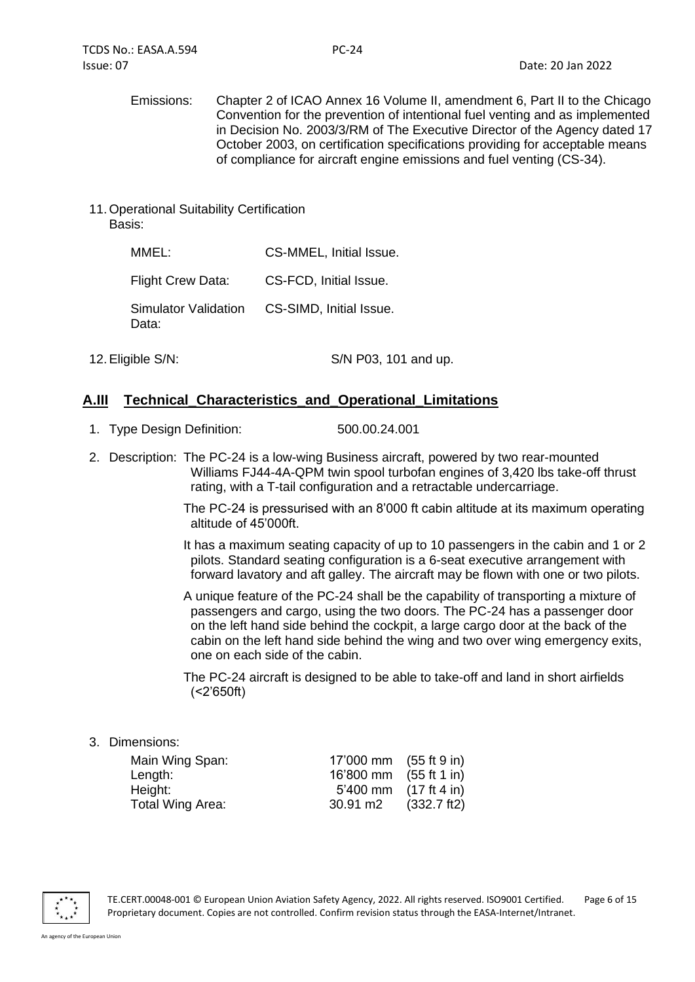- Emissions: Chapter 2 of ICAO Annex 16 Volume II, amendment 6, Part II to the Chicago Convention for the prevention of intentional fuel venting and as implemented in Decision No. 2003/3/RM of The Executive Director of the Agency dated 17 October 2003, on certification specifications providing for acceptable means of compliance for aircraft engine emissions and fuel venting (CS-34).
- 11. Operational Suitability Certification Basis:

| MMEL:             | CS-MMEL, Initial Issue.                      |
|-------------------|----------------------------------------------|
| Flight Crew Data: | CS-FCD, Initial Issue.                       |
| Data:             | Simulator Validation CS-SIMD, Initial Issue. |

12.Eligible S/N: S/N P03, 101 and up.

#### **A.III Technical\_Characteristics\_and\_Operational\_Limitations**

- 1. Type Design Definition: 500.00.24.001
- 2. Description: The PC-24 is a low-wing Business aircraft, powered by two rear-mounted Williams FJ44-4A-QPM twin spool turbofan engines of 3,420 lbs take-off thrust rating, with a T-tail configuration and a retractable undercarriage.

The PC-24 is pressurised with an 8'000 ft cabin altitude at its maximum operating altitude of 45'000ft.

It has a maximum seating capacity of up to 10 passengers in the cabin and 1 or 2 pilots. Standard seating configuration is a 6-seat executive arrangement with forward lavatory and aft galley. The aircraft may be flown with one or two pilots.

A unique feature of the PC-24 shall be the capability of transporting a mixture of passengers and cargo, using the two doors. The PC-24 has a passenger door on the left hand side behind the cockpit, a large cargo door at the back of the cabin on the left hand side behind the wing and two over wing emergency exits, one on each side of the cabin.

The PC-24 aircraft is designed to be able to take-off and land in short airfields (<2'650ft)

#### 3. Dimensions:

| Main Wing Span:  | 17'000 mm (55 ft 9 in) |                         |
|------------------|------------------------|-------------------------|
| Length:          | 16'800 mm (55 ft 1 in) |                         |
| Height:          |                        | 5'400 mm $(17 ft 4 in)$ |
| Total Wing Area: | 30.91 m2               | (332.7 ft2)             |

TE.CERT.00048-001 © European Union Aviation Safety Agency, 2022. All rights reserved. ISO9001 Certified. Page 6 of 15 Proprietary document. Copies are not controlled. Confirm revision status through the EASA-Internet/Intranet.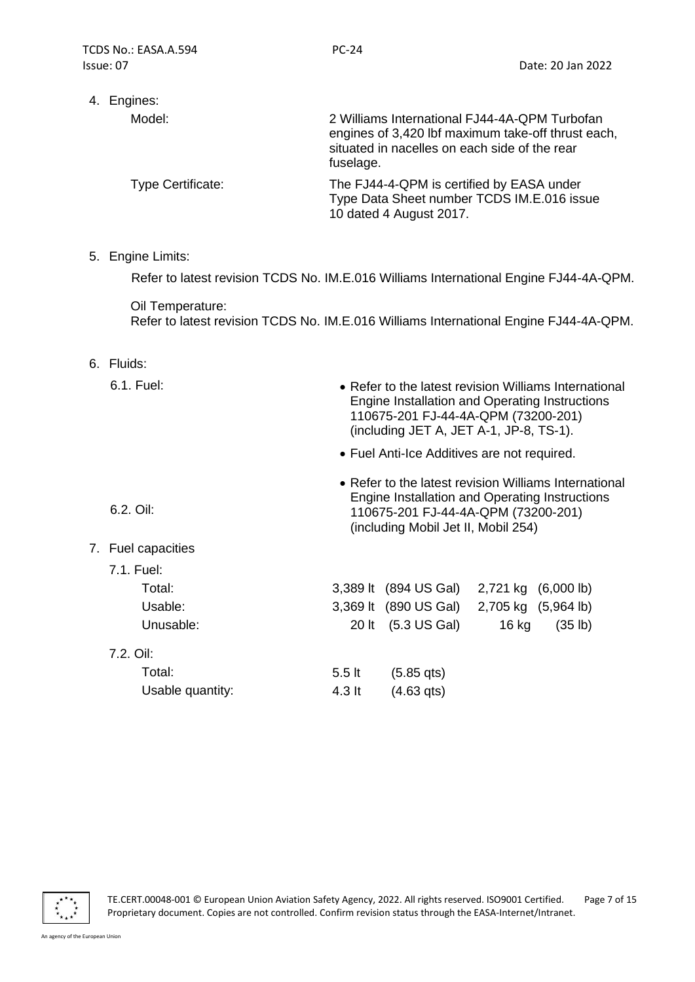4. Engines:

Model: 2 Williams International FJ44-4A-QPM Turbofan engines of 3,420 lbf maximum take-off thrust each, situated in nacelles on each side of the rear fuselage.

Type Certificate: The FJ44-4-QPM is certified by EASA under Type Data Sheet number TCDS IM.E.016 issue 10 dated 4 August 2017.

5. Engine Limits:

Refer to latest revision TCDS No. IM.E.016 Williams International Engine FJ44-4A-QPM.

Oil Temperature: Refer to latest revision TCDS No. IM.E.016 Williams International Engine FJ44-4A-QPM.

6. Fluids:

| 6.1. Fuel:                   |            |                                |       |                                                                                                                                                                                                                                                                                                                                                                                                                                                                            |
|------------------------------|------------|--------------------------------|-------|----------------------------------------------------------------------------------------------------------------------------------------------------------------------------------------------------------------------------------------------------------------------------------------------------------------------------------------------------------------------------------------------------------------------------------------------------------------------------|
|                              |            |                                |       |                                                                                                                                                                                                                                                                                                                                                                                                                                                                            |
| $6.2.$ Oil:                  |            |                                |       |                                                                                                                                                                                                                                                                                                                                                                                                                                                                            |
| 7.<br><b>Fuel capacities</b> |            |                                |       |                                                                                                                                                                                                                                                                                                                                                                                                                                                                            |
| 7.1. Fuel:                   |            |                                |       |                                                                                                                                                                                                                                                                                                                                                                                                                                                                            |
| Total:                       | $3,389$ It |                                |       | 2,721 kg (6,000 lb)                                                                                                                                                                                                                                                                                                                                                                                                                                                        |
| Usable:                      |            |                                |       | 2,705 kg (5,964 lb)                                                                                                                                                                                                                                                                                                                                                                                                                                                        |
| Unusable:                    | 20 It      | $(5.3 \text{ US } \text{Gal})$ | 16 kg | (35 lb)                                                                                                                                                                                                                                                                                                                                                                                                                                                                    |
| 7.2. Oil:                    |            |                                |       |                                                                                                                                                                                                                                                                                                                                                                                                                                                                            |
| Total:                       | $5.5$ It   | $(5.85 \text{ qts})$           |       |                                                                                                                                                                                                                                                                                                                                                                                                                                                                            |
| Usable quantity:             | $4.3$ It   | $(4.63 \text{ qts})$           |       |                                                                                                                                                                                                                                                                                                                                                                                                                                                                            |
|                              |            |                                |       | • Refer to the latest revision Williams International<br>Engine Installation and Operating Instructions<br>110675-201 FJ-44-4A-QPM (73200-201)<br>(including JET A, JET A-1, JP-8, TS-1).<br>• Fuel Anti-Ice Additives are not required.<br>• Refer to the latest revision Williams International<br>Engine Installation and Operating Instructions<br>110675-201 FJ-44-4A-QPM (73200-201)<br>(including Mobil Jet II, Mobil 254)<br>(894 US Gal)<br>3,369 lt (890 US Gal) |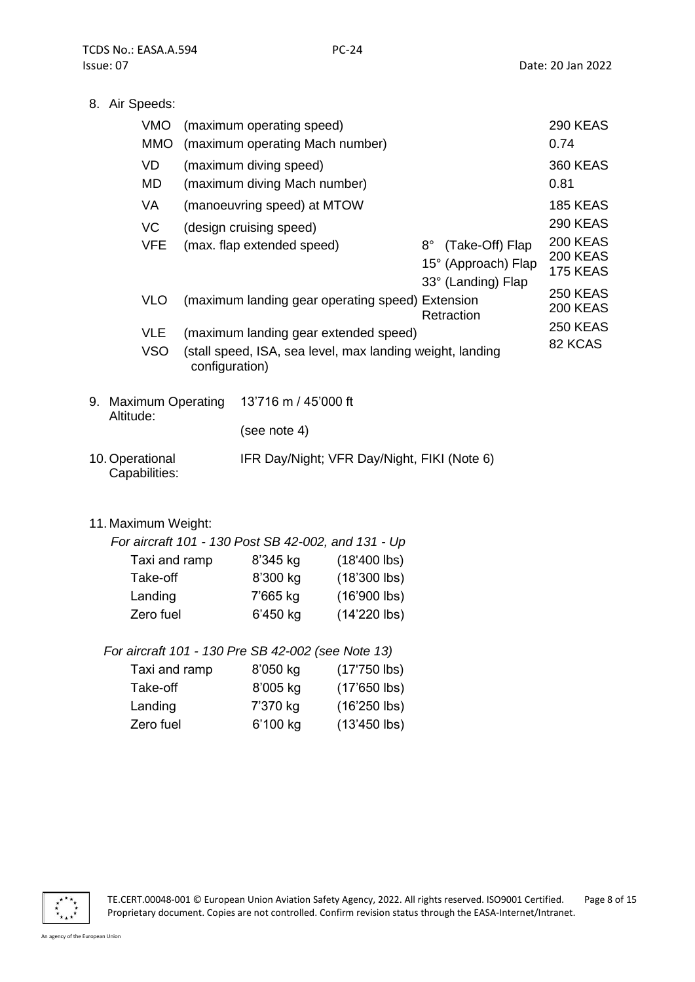|  | 8. Air Speeds:                   |                                 |                                                     |                                                           |                                           |                                    |
|--|----------------------------------|---------------------------------|-----------------------------------------------------|-----------------------------------------------------------|-------------------------------------------|------------------------------------|
|  | <b>VMO</b>                       |                                 | (maximum operating speed)                           |                                                           |                                           | <b>290 KEAS</b>                    |
|  | <b>MMO</b>                       | (maximum operating Mach number) |                                                     |                                                           | 0.74                                      |                                    |
|  | VD                               |                                 | (maximum diving speed)                              |                                                           |                                           | <b>360 KEAS</b>                    |
|  | <b>MD</b>                        |                                 | (maximum diving Mach number)                        |                                                           |                                           | 0.81                               |
|  | VA                               |                                 | (manoeuvring speed) at MTOW                         |                                                           |                                           | <b>185 KEAS</b>                    |
|  | VC                               |                                 | (design cruising speed)                             |                                                           |                                           | <b>290 KEAS</b>                    |
|  | <b>VFE</b>                       |                                 | (max. flap extended speed)                          |                                                           | (Take-Off) Flap<br>$8^{\circ}$            | <b>200 KEAS</b><br><b>200 KEAS</b> |
|  |                                  |                                 |                                                     |                                                           | 15° (Approach) Flap<br>33° (Landing) Flap | 175 KEAS                           |
|  | <b>VLO</b>                       |                                 |                                                     | (maximum landing gear operating speed) Extension          |                                           | <b>250 KEAS</b>                    |
|  |                                  |                                 |                                                     |                                                           | Retraction                                | <b>200 KEAS</b>                    |
|  | <b>VLE</b>                       |                                 |                                                     | (maximum landing gear extended speed)                     |                                           | <b>250 KEAS</b><br>82 KCAS         |
|  | <b>VSO</b>                       | configuration)                  |                                                     | (stall speed, ISA, sea level, max landing weight, landing |                                           |                                    |
|  | 9. Maximum Operating             |                                 | 13'716 m / 45'000 ft                                |                                                           |                                           |                                    |
|  | Altitude:                        |                                 | (see note 4)                                        |                                                           |                                           |                                    |
|  |                                  |                                 |                                                     |                                                           |                                           |                                    |
|  | 10. Operational<br>Capabilities: |                                 |                                                     | IFR Day/Night; VFR Day/Night, FIKI (Note 6)               |                                           |                                    |
|  |                                  |                                 |                                                     |                                                           |                                           |                                    |
|  |                                  |                                 |                                                     |                                                           |                                           |                                    |
|  | 11. Maximum Weight:              |                                 | For aircraft 101 - 130 Post SB 42-002, and 131 - Up |                                                           |                                           |                                    |
|  | Taxi and ramp                    |                                 | 8'345 kg                                            | $(18'400$ lbs)                                            |                                           |                                    |
|  | Take-off                         |                                 | 8'300 kg                                            | $(18'300$ lbs)                                            |                                           |                                    |
|  | Landing                          |                                 | 7'665 kg                                            | $(16'900$ lbs)                                            |                                           |                                    |
|  | Zero fuel                        |                                 | 6'450 kg                                            | (14'220 lbs)                                              |                                           |                                    |
|  |                                  |                                 | For aircraft 101 - 130 Pre SB 42-002 (see Note 13)  |                                                           |                                           |                                    |
|  | Taxi and ramp                    |                                 | 8'050 kg                                            | (17'750 lbs)                                              |                                           |                                    |
|  | Take-off                         |                                 | 8'005 kg                                            | $(17'650$ lbs)                                            |                                           |                                    |
|  | Landing                          |                                 | 7'370 kg                                            | $(16'250$ lbs)                                            |                                           |                                    |
|  | Zero fuel                        |                                 | 6'100 kg                                            | $(13'450$ lbs)                                            |                                           |                                    |
|  |                                  |                                 |                                                     |                                                           |                                           |                                    |

TE.CERT.00048-001 © European Union Aviation Safety Agency, 2022. All rights reserved. ISO9001 Certified. Page 8 of 15 Proprietary document. Copies are not controlled. Confirm revision status through the EASA-Internet/Intranet.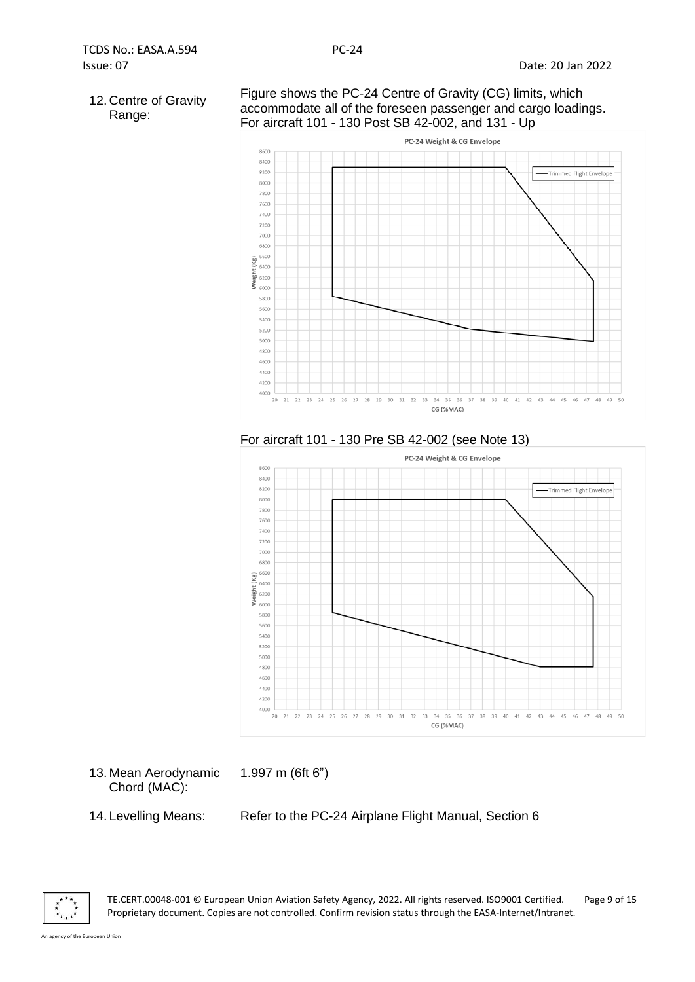#### 12. Centre of Gravity Range:

Figure shows the PC-24 Centre of Gravity (CG) limits, which accommodate all of the foreseen passenger and cargo loadings. For aircraft 101 - 130 Post SB 42-002, and 131 - Up







13. Mean Aerodynamic Chord (MAC):

1.997 m (6ft 6")

14. Levelling Means: Refer to the PC-24 Airplane Flight Manual, Section 6



TE.CERT.00048-001 © European Union Aviation Safety Agency, 2022. All rights reserved. ISO9001 Certified. Page 9 of 15 Proprietary document. Copies are not controlled. Confirm revision status through the EASA-Internet/Intranet.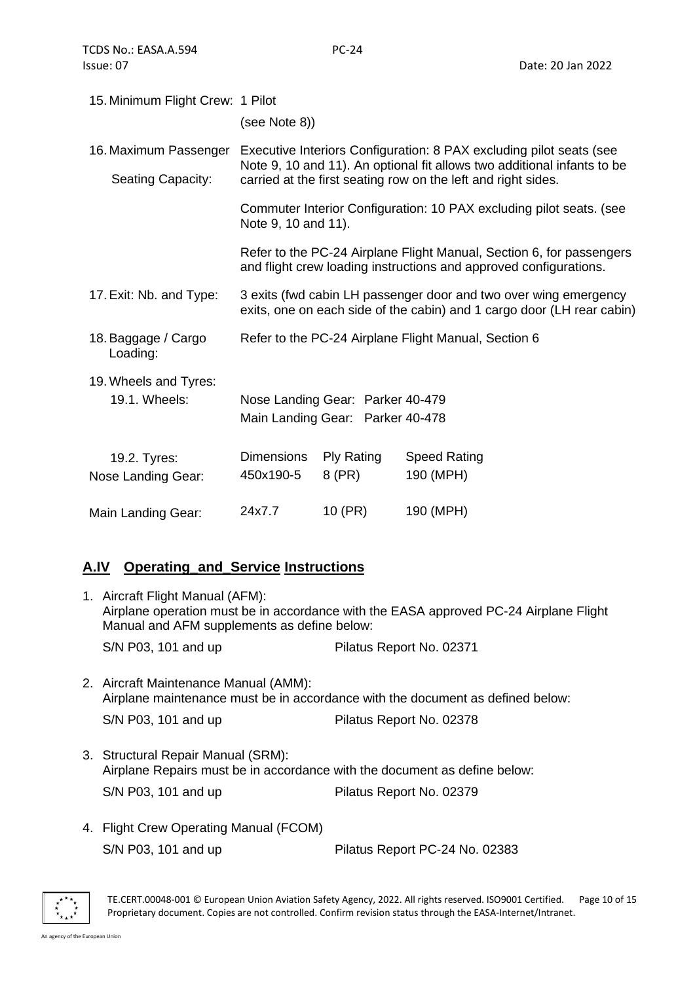| 15. Minimum Flight Crew: 1 Pilot           |                                                                                                                                                                                                                 |                                                                      |                                                                                                                                           |  |  |
|--------------------------------------------|-----------------------------------------------------------------------------------------------------------------------------------------------------------------------------------------------------------------|----------------------------------------------------------------------|-------------------------------------------------------------------------------------------------------------------------------------------|--|--|
|                                            | (see Note 8))                                                                                                                                                                                                   |                                                                      |                                                                                                                                           |  |  |
| 16. Maximum Passenger<br>Seating Capacity: | Executive Interiors Configuration: 8 PAX excluding pilot seats (see<br>Note 9, 10 and 11). An optional fit allows two additional infants to be<br>carried at the first seating row on the left and right sides. |                                                                      |                                                                                                                                           |  |  |
|                                            | Commuter Interior Configuration: 10 PAX excluding pilot seats. (see<br>Note 9, 10 and 11).                                                                                                                      |                                                                      |                                                                                                                                           |  |  |
|                                            |                                                                                                                                                                                                                 |                                                                      | Refer to the PC-24 Airplane Flight Manual, Section 6, for passengers<br>and flight crew loading instructions and approved configurations. |  |  |
| 17. Exit: Nb. and Type:                    | 3 exits (fwd cabin LH passenger door and two over wing emergency<br>exits, one on each side of the cabin) and 1 cargo door (LH rear cabin)                                                                      |                                                                      |                                                                                                                                           |  |  |
| 18. Baggage / Cargo<br>Loading:            | Refer to the PC-24 Airplane Flight Manual, Section 6                                                                                                                                                            |                                                                      |                                                                                                                                           |  |  |
| 19. Wheels and Tyres:<br>19.1. Wheels:     |                                                                                                                                                                                                                 | Nose Landing Gear: Parker 40-479<br>Main Landing Gear: Parker 40-478 |                                                                                                                                           |  |  |
| 19.2. Tyres:<br>Nose Landing Gear:         | <b>Dimensions</b><br>450x190-5                                                                                                                                                                                  | <b>Ply Rating</b><br>8 (PR)                                          | <b>Speed Rating</b><br>190 (MPH)                                                                                                          |  |  |
| Main Landing Gear:                         | 24x7.7                                                                                                                                                                                                          | 10 (PR)                                                              | 190 (MPH)                                                                                                                                 |  |  |

## **A.IV Operating\_and\_Service Instructions**

| 1. Aircraft Flight Manual (AFM):<br>Airplane operation must be in accordance with the EASA approved PC-24 Airplane Flight<br>Manual and AFM supplements as define below: |                                                                                                            |  |  |  |
|--------------------------------------------------------------------------------------------------------------------------------------------------------------------------|------------------------------------------------------------------------------------------------------------|--|--|--|
| S/N P03, 101 and up                                                                                                                                                      | Pilatus Report No. 02371                                                                                   |  |  |  |
| 2. Aircraft Maintenance Manual (AMM):<br>S/N P03, 101 and up                                                                                                             | Airplane maintenance must be in accordance with the document as defined below:<br>Pilatus Report No. 02378 |  |  |  |

- 3. Structural Repair Manual (SRM): Airplane Repairs must be in accordance with the document as define below: S/N P03, 101 and up Pilatus Report No. 02379
- 4. Flight Crew Operating Manual (FCOM) S/N P03, 101 and up Pilatus Report PC-24 No. 02383



TE.CERT.00048-001 © European Union Aviation Safety Agency, 2022. All rights reserved. ISO9001 Certified. Page 10 of 15 Proprietary document. Copies are not controlled. Confirm revision status through the EASA-Internet/Intranet.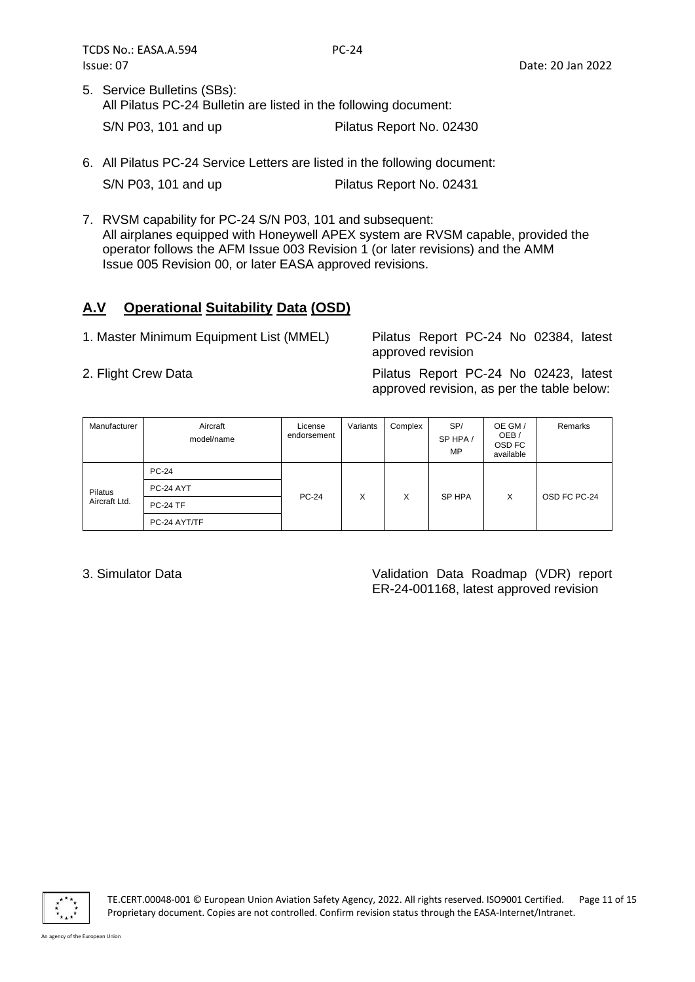- 5. Service Bulletins (SBs): All Pilatus PC-24 Bulletin are listed in the following document: S/N P03, 101 and up Pilatus Report No. 02430
- 6. All Pilatus PC-24 Service Letters are listed in the following document:

S/N P03, 101 and up Pilatus Report No. 02431

7. RVSM capability for PC-24 S/N P03, 101 and subsequent: All airplanes equipped with Honeywell APEX system are RVSM capable, provided the operator follows the AFM Issue 003 Revision 1 (or later revisions) and the AMM Issue 005 Revision 00, or later EASA approved revisions.

## **A.V Operational Suitability Data (OSD)**

1. Master Minimum Equipment List (MMEL) Pilatus Report PC-24 No 02384, latest

approved revision

2. Flight Crew Data Pilatus Report PC-24 No 02423, latest approved revision, as per the table below:

| Manufacturer  | Aircraft<br>model/name | License<br>endorsement | Variants | Complex | SP/<br>SP HPA/<br><b>MP</b> | OE GM /<br>OEB/<br>OSD FC<br>available | Remarks      |
|---------------|------------------------|------------------------|----------|---------|-----------------------------|----------------------------------------|--------------|
|               | <b>PC-24</b>           |                        |          |         |                             |                                        |              |
| Pilatus       | PC-24 AYT              |                        |          |         |                             |                                        |              |
| Aircraft Ltd. | <b>PC-24 TF</b>        | <b>PC-24</b>           | X        | X       | SP HPA                      | X                                      | OSD FC PC-24 |
|               | PC-24 AYT/TF           |                        |          |         |                             |                                        |              |

3. Simulator Data Validation Data Roadmap (VDR) report ER-24-001168, latest approved revision

TE.CERT.00048-001 © European Union Aviation Safety Agency, 2022. All rights reserved. ISO9001 Certified. Page 11 of 15 Proprietary document. Copies are not controlled. Confirm revision status through the EASA-Internet/Intranet.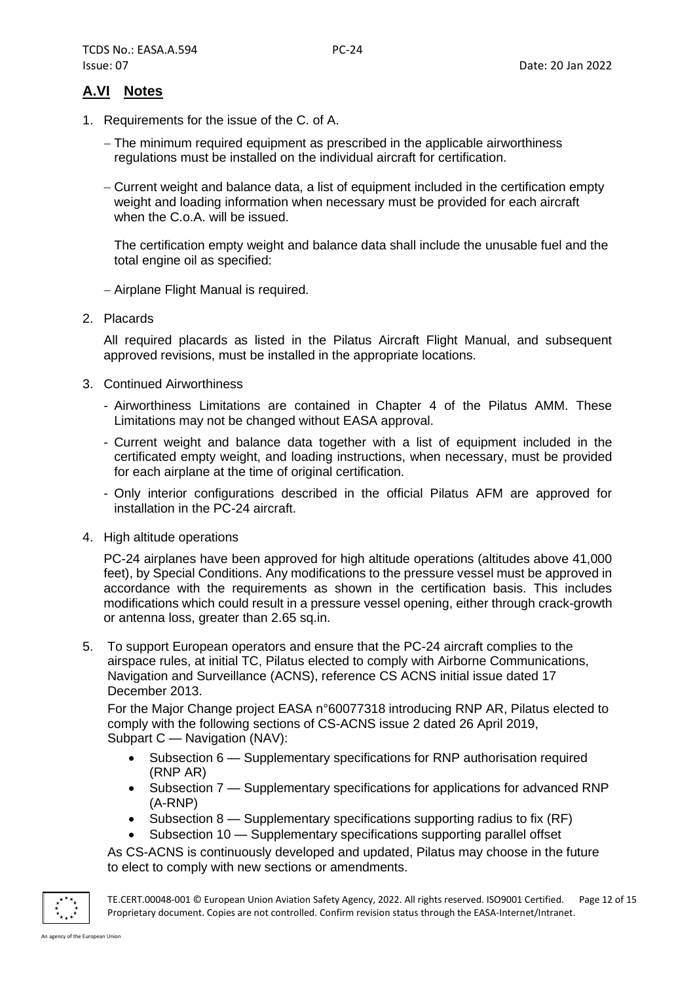## **A.VI Notes**

- 1. Requirements for the issue of the C. of A.
	- − The minimum required equipment as prescribed in the applicable airworthiness regulations must be installed on the individual aircraft for certification.
	- − Current weight and balance data, a list of equipment included in the certification empty weight and loading information when necessary must be provided for each aircraft when the C.o.A. will be issued.

The certification empty weight and balance data shall include the unusable fuel and the total engine oil as specified:

- − Airplane Flight Manual is required.
- 2. Placards

All required placards as listed in the Pilatus Aircraft Flight Manual, and subsequent approved revisions, must be installed in the appropriate locations.

- 3. Continued Airworthiness
	- Airworthiness Limitations are contained in Chapter 4 of the Pilatus AMM. These Limitations may not be changed without EASA approval.
	- Current weight and balance data together with a list of equipment included in the certificated empty weight, and loading instructions, when necessary, must be provided for each airplane at the time of original certification.
	- Only interior configurations described in the official Pilatus AFM are approved for installation in the PC-24 aircraft.
- 4. High altitude operations

PC-24 airplanes have been approved for high altitude operations (altitudes above 41,000 feet), by Special Conditions. Any modifications to the pressure vessel must be approved in accordance with the requirements as shown in the certification basis. This includes modifications which could result in a pressure vessel opening, either through crack-growth or antenna loss, greater than 2.65 sq.in.

5. To support European operators and ensure that the PC-24 aircraft complies to the airspace rules, at initial TC, Pilatus elected to comply with Airborne Communications, Navigation and Surveillance (ACNS), reference CS ACNS initial issue dated 17 December 2013.

For the Major Change project EASA n°60077318 introducing RNP AR, Pilatus elected to comply with the following sections of CS-ACNS issue 2 dated 26 April 2019, Subpart C — Navigation (NAV):

- Subsection 6 Supplementary specifications for RNP authorisation required (RNP AR)
- Subsection 7 Supplementary specifications for applications for advanced RNP (A-RNP)
- Subsection  $8 -$  Supplementary specifications supporting radius to fix  $(RF)$
- Subsection 10 Supplementary specifications supporting parallel offset

As CS-ACNS is continuously developed and updated, Pilatus may choose in the future to elect to comply with new sections or amendments.



TE.CERT.00048-001 © European Union Aviation Safety Agency, 2022. All rights reserved. ISO9001 Certified. Page 12 of 15 Proprietary document. Copies are not controlled. Confirm revision status through the EASA-Internet/Intranet.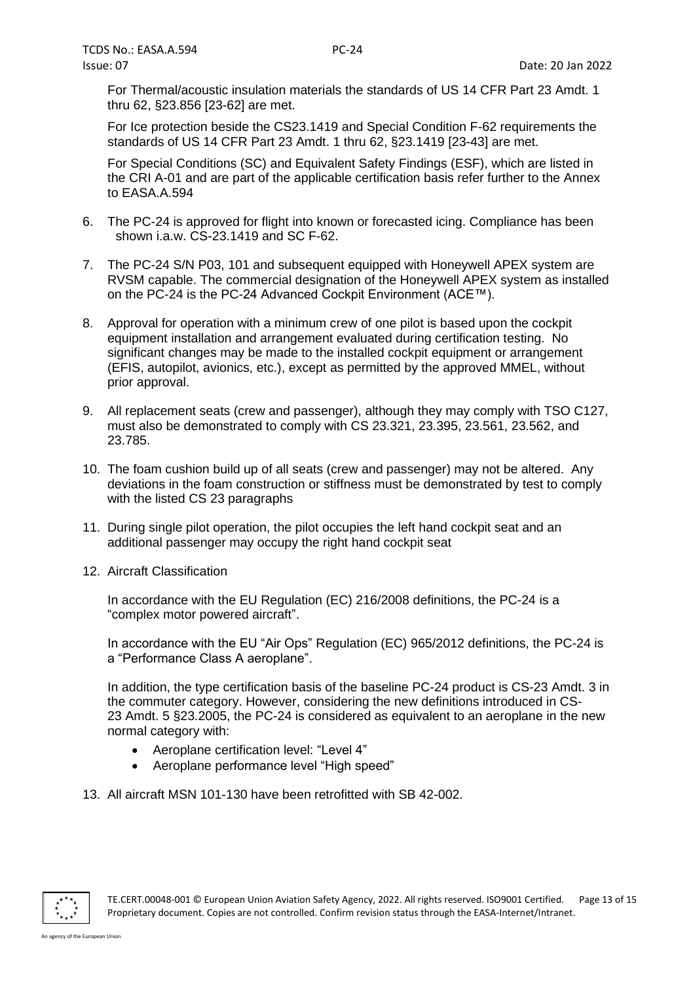For Thermal/acoustic insulation materials the standards of US 14 CFR Part 23 Amdt. 1 thru 62, §23.856 [23-62] are met.

For Ice protection beside the CS23.1419 and Special Condition F-62 requirements the standards of US 14 CFR Part 23 Amdt. 1 thru 62, §23.1419 [23-43] are met.

For Special Conditions (SC) and Equivalent Safety Findings (ESF), which are listed in the CRI A-01 and are part of the applicable certification basis refer further to the Annex to EASA.A.594

- 6. The PC-24 is approved for flight into known or forecasted icing. Compliance has been shown i.a.w. CS-23.1419 and SC F-62.
- 7. The PC-24 S/N P03, 101 and subsequent equipped with Honeywell APEX system are RVSM capable. The commercial designation of the Honeywell APEX system as installed on the PC-24 is the PC-24 Advanced Cockpit Environment (ACE™).
- 8. Approval for operation with a minimum crew of one pilot is based upon the cockpit equipment installation and arrangement evaluated during certification testing. No significant changes may be made to the installed cockpit equipment or arrangement (EFIS, autopilot, avionics, etc.), except as permitted by the approved MMEL, without prior approval.
- 9. All replacement seats (crew and passenger), although they may comply with TSO C127, must also be demonstrated to comply with CS 23.321, 23.395, 23.561, 23.562, and 23.785.
- 10. The foam cushion build up of all seats (crew and passenger) may not be altered. Any deviations in the foam construction or stiffness must be demonstrated by test to comply with the listed CS 23 paragraphs
- 11. During single pilot operation, the pilot occupies the left hand cockpit seat and an additional passenger may occupy the right hand cockpit seat
- 12. Aircraft Classification

In accordance with the EU Regulation (EC) 216/2008 definitions, the PC-24 is a "complex motor powered aircraft".

In accordance with the EU "Air Ops" Regulation (EC) 965/2012 definitions, the PC-24 is a "Performance Class A aeroplane".

In addition, the type certification basis of the baseline PC-24 product is CS-23 Amdt. 3 in the commuter category. However, considering the new definitions introduced in CS-23 Amdt. 5 §23.2005, the PC-24 is considered as equivalent to an aeroplane in the new normal category with:

- Aeroplane certification level: "Level 4"
- Aeroplane performance level "High speed"
- 13. All aircraft MSN 101-130 have been retrofitted with SB 42-002.

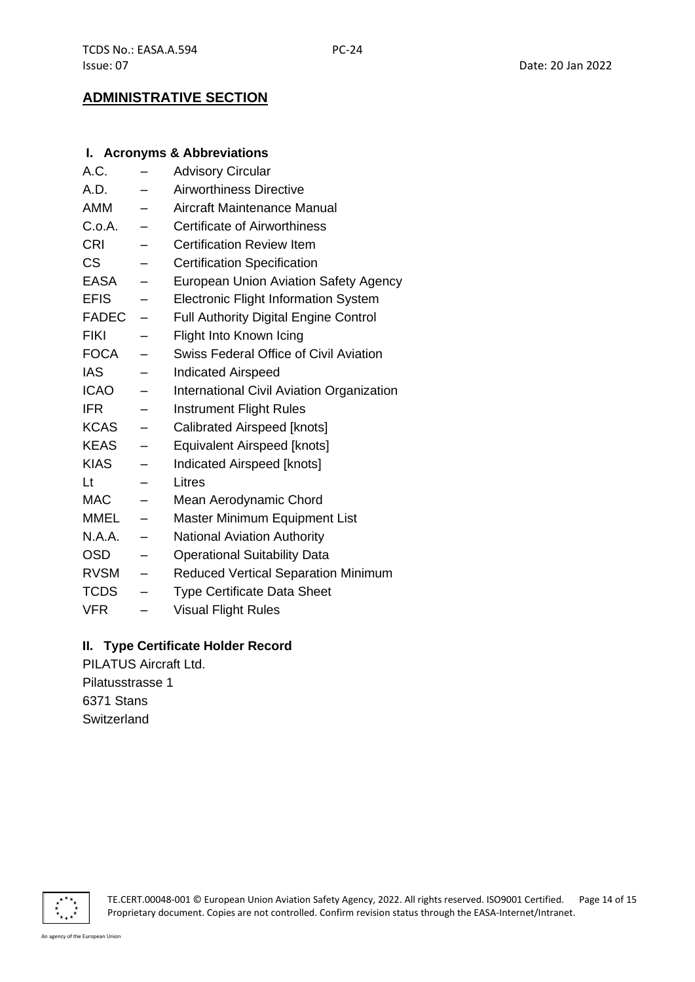## **ADMINISTRATIVE SECTION**

#### **I. Acronyms & Abbreviations**

| A.C.         |                          | <b>Advisory Circular</b>                     |
|--------------|--------------------------|----------------------------------------------|
| A.D.         |                          | <b>Airworthiness Directive</b>               |
| AMM          | -                        | Aircraft Maintenance Manual                  |
| C.o.A.       |                          | Certificate of Airworthiness                 |
| <b>CRI</b>   |                          | <b>Certification Review Item</b>             |
| <b>CS</b>    | —                        | <b>Certification Specification</b>           |
| <b>EASA</b>  | $\overline{\phantom{0}}$ | European Union Aviation Safety Agency        |
| <b>EFIS</b>  |                          | <b>Electronic Flight Information System</b>  |
| <b>FADEC</b> | $\equiv$                 | <b>Full Authority Digital Engine Control</b> |
| <b>FIKI</b>  |                          | Flight Into Known Icing                      |
| <b>FOCA</b>  | $\overline{\phantom{0}}$ | Swiss Federal Office of Civil Aviation       |
| <b>IAS</b>   |                          | <b>Indicated Airspeed</b>                    |
| <b>ICAO</b>  |                          | International Civil Aviation Organization    |
| <b>IFR</b>   |                          | <b>Instrument Flight Rules</b>               |
| <b>KCAS</b>  | $\overline{\phantom{0}}$ | Calibrated Airspeed [knots]                  |
| <b>KEAS</b>  |                          | <b>Equivalent Airspeed [knots]</b>           |
| <b>KIAS</b>  |                          | Indicated Airspeed [knots]                   |
| Lt           |                          | Litres                                       |
| <b>MAC</b>   |                          | Mean Aerodynamic Chord                       |
| <b>MMEL</b>  |                          | <b>Master Minimum Equipment List</b>         |
| N.A.A.       | —                        | <b>National Aviation Authority</b>           |
| <b>OSD</b>   |                          | <b>Operational Suitability Data</b>          |
| <b>RVSM</b>  | —                        | <b>Reduced Vertical Separation Minimum</b>   |
| <b>TCDS</b>  |                          | <b>Type Certificate Data Sheet</b>           |
| <b>VFR</b>   |                          | <b>Visual Flight Rules</b>                   |

#### **II. Type Certificate Holder Record**

PILATUS Aircraft Ltd. Pilatusstrasse 1 6371 Stans **Switzerland**